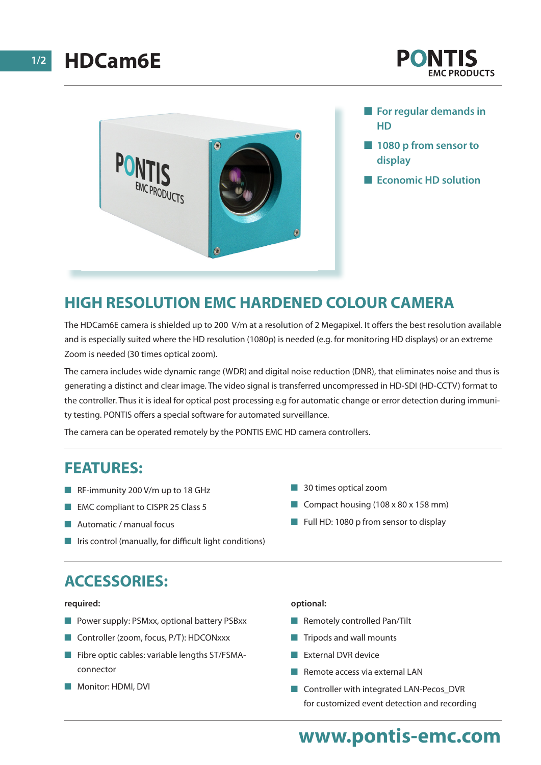



- **For regular demands in HD**
- **n** 1080 p from sensor to **display**
- **Expansive Exconomic HD solution**

## **HIGH RESOLUTION EMC HARDENED COLOUR CAMERA**

The HDCam6E camera is shielded up to 200 V/m at a resolution of 2 Megapixel. It offers the best resolution available and is especially suited where the HD resolution (1080p) is needed (e.g. for monitoring HD displays) or an extreme Zoom is needed (30 times optical zoom).

The camera includes wide dynamic range (WDR) and digital noise reduction (DNR), that eliminates noise and thus is generating a distinct and clear image. The video signal is transferred uncompressed in HD-SDI (HD-CCTV) format to the controller. Thus it is ideal for optical post processing e.g for automatic change or error detection during immunity testing. PONTIS offers a special software for automated surveillance.

The camera can be operated remotely by the PONTIS EMC HD camera controllers.

### **FEATURES:**

- $R$ F-immunity 200 V/m up to 18 GHz
- **EMC** compliant to CISPR 25 Class 5
- $\blacksquare$  Automatic / manual focus
- $\blacksquare$  Iris control (manually, for difficult light conditions)

# **ACCESSORIES:**

#### **required:**

- Power supply: PSMxx, optional battery PSBxx
- Controller (zoom, focus, P/T): HDCONxxx
- $\blacksquare$  Fibre optic cables: variable lengths ST/FSMAconnector
- **Nonitor: HDMI, DVI**

#### **n** 30 times optical zoom

- Compact housing  $(108 \times 80 \times 158 \text{ mm})$
- Full HD: 1080 p from sensor to display

#### **optional:**

- $\blacksquare$  Remotely controlled Pan/Tilt
- $\blacksquare$  Tripods and wall mounts
- **n** External DVR device
- $\blacksquare$  Remote access via external LAN
- Controller with integrated LAN-Pecos\_DVR for customized event detection and recording

# **www.pontis-emc.com**